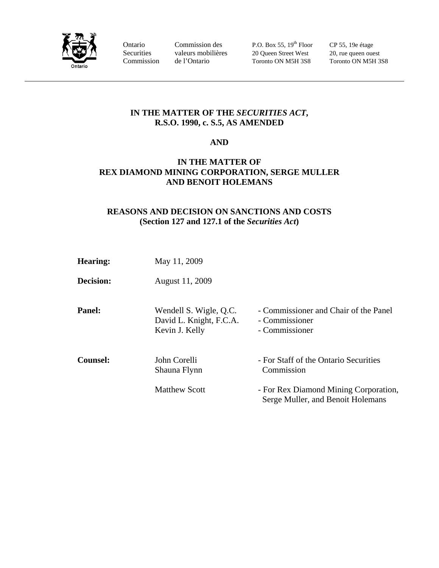

Ontario Commission des P.O. Box 55, 19<sup>th</sup> Floor CP 55, 19e étage Securities valeurs mobilières 20 Queen Street West 20, rue queen ouest Commission de l'Ontario Toronto ON M5H 3S8 Toronto ON M5H 3S8

### **IN THE MATTER OF THE** *SECURITIES ACT***, R.S.O. 1990, c. S.5, AS AMENDED**

#### **AND**

### **IN THE MATTER OF REX DIAMOND MINING CORPORATION, SERGE MULLER AND BENOIT HOLEMANS**

## **REASONS AND DECISION ON SANCTIONS AND COSTS (Section 127 and 127.1 of the** *Securities Act***)**

| Hearing:        | May 11, 2009                                                        |                                                                            |
|-----------------|---------------------------------------------------------------------|----------------------------------------------------------------------------|
| Decision:       | August 11, 2009                                                     |                                                                            |
| <b>Panel:</b>   | Wendell S. Wigle, Q.C.<br>David L. Knight, F.C.A.<br>Kevin J. Kelly | - Commissioner and Chair of the Panel<br>- Commissioner<br>- Commissioner  |
| <b>Counsel:</b> | John Corelli<br>Shauna Flynn                                        | - For Staff of the Ontario Securities<br>Commission                        |
|                 | <b>Matthew Scott</b>                                                | - For Rex Diamond Mining Corporation,<br>Serge Muller, and Benoit Holemans |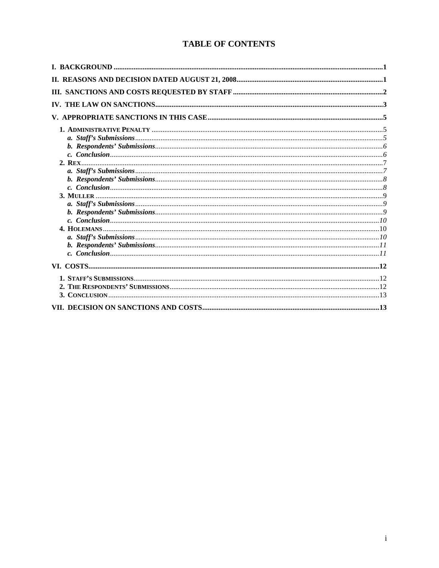# **TABLE OF CONTENTS**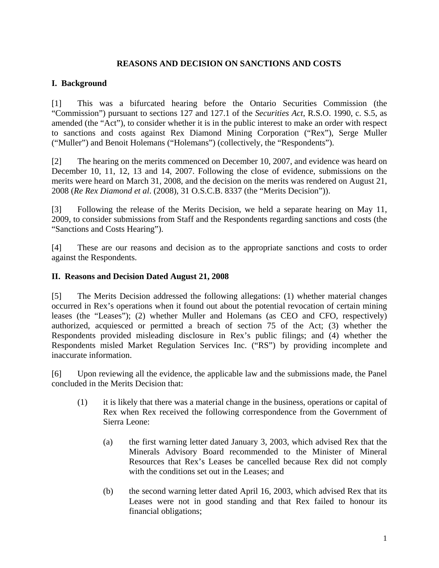### **REASONS AND DECISION ON SANCTIONS AND COSTS**

### **I. Background**

[1] This was a bifurcated hearing before the Ontario Securities Commission (the "Commission") pursuant to sections 127 and 127.1 of the *Securities Act*, R.S.O. 1990, c. S.5, as amended (the "Act"), to consider whether it is in the public interest to make an order with respect to sanctions and costs against Rex Diamond Mining Corporation ("Rex"), Serge Muller ("Muller") and Benoit Holemans ("Holemans") (collectively, the "Respondents").

[2] The hearing on the merits commenced on December 10, 2007, and evidence was heard on December 10, 11, 12, 13 and 14, 2007. Following the close of evidence, submissions on the merits were heard on March 31, 2008, and the decision on the merits was rendered on August 21, 2008 (*Re Rex Diamond et al*. (2008), 31 O.S.C.B. 8337 (the "Merits Decision")).

[3] Following the release of the Merits Decision, we held a separate hearing on May 11, 2009, to consider submissions from Staff and the Respondents regarding sanctions and costs (the "Sanctions and Costs Hearing").

[4] These are our reasons and decision as to the appropriate sanctions and costs to order against the Respondents.

#### **II. Reasons and Decision Dated August 21, 2008**

[5] The Merits Decision addressed the following allegations: (1) whether material changes occurred in Rex's operations when it found out about the potential revocation of certain mining leases (the "Leases"); (2) whether Muller and Holemans (as CEO and CFO, respectively) authorized, acquiesced or permitted a breach of section 75 of the Act; (3) whether the Respondents provided misleading disclosure in Rex's public filings; and (4) whether the Respondents misled Market Regulation Services Inc. ("RS") by providing incomplete and inaccurate information.

[6] Upon reviewing all the evidence, the applicable law and the submissions made, the Panel concluded in the Merits Decision that:

- (1) it is likely that there was a material change in the business, operations or capital of Rex when Rex received the following correspondence from the Government of Sierra Leone:
	- (a) the first warning letter dated January 3, 2003, which advised Rex that the Minerals Advisory Board recommended to the Minister of Mineral Resources that Rex's Leases be cancelled because Rex did not comply with the conditions set out in the Leases; and
	- (b) the second warning letter dated April 16, 2003, which advised Rex that its Leases were not in good standing and that Rex failed to honour its financial obligations;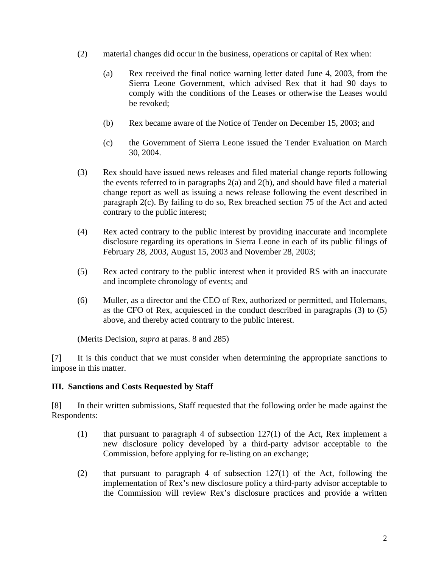- (2) material changes did occur in the business, operations or capital of Rex when:
	- (a) Rex received the final notice warning letter dated June 4, 2003, from the Sierra Leone Government, which advised Rex that it had 90 days to comply with the conditions of the Leases or otherwise the Leases would be revoked;
	- (b) Rex became aware of the Notice of Tender on December 15, 2003; and
	- (c) the Government of Sierra Leone issued the Tender Evaluation on March 30, 2004.
- (3) Rex should have issued news releases and filed material change reports following the events referred to in paragraphs 2(a) and 2(b), and should have filed a material change report as well as issuing a news release following the event described in paragraph 2(c). By failing to do so, Rex breached section 75 of the Act and acted contrary to the public interest;
- (4) Rex acted contrary to the public interest by providing inaccurate and incomplete disclosure regarding its operations in Sierra Leone in each of its public filings of February 28, 2003, August 15, 2003 and November 28, 2003;
- (5) Rex acted contrary to the public interest when it provided RS with an inaccurate and incomplete chronology of events; and
- (6) Muller, as a director and the CEO of Rex, authorized or permitted, and Holemans, as the CFO of Rex, acquiesced in the conduct described in paragraphs (3) to (5) above, and thereby acted contrary to the public interest.

(Merits Decision, *supra* at paras. 8 and 285)

[7] It is this conduct that we must consider when determining the appropriate sanctions to impose in this matter.

### **III. Sanctions and Costs Requested by Staff**

[8] In their written submissions, Staff requested that the following order be made against the Respondents:

- (1) that pursuant to paragraph 4 of subsection 127(1) of the Act, Rex implement a new disclosure policy developed by a third-party advisor acceptable to the Commission, before applying for re-listing on an exchange;
- (2) that pursuant to paragraph 4 of subsection 127(1) of the Act, following the implementation of Rex's new disclosure policy a third-party advisor acceptable to the Commission will review Rex's disclosure practices and provide a written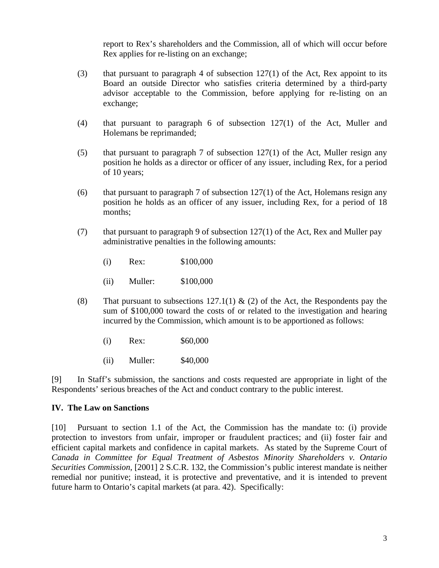report to Rex's shareholders and the Commission, all of which will occur before Rex applies for re-listing on an exchange;

- (3) that pursuant to paragraph 4 of subsection  $127(1)$  of the Act, Rex appoint to its Board an outside Director who satisfies criteria determined by a third-party advisor acceptable to the Commission, before applying for re-listing on an exchange;
- (4) that pursuant to paragraph 6 of subsection 127(1) of the Act, Muller and Holemans be reprimanded;
- (5) that pursuant to paragraph 7 of subsection  $127(1)$  of the Act, Muller resign any position he holds as a director or officer of any issuer, including Rex, for a period of 10 years;
- (6) that pursuant to paragraph 7 of subsection  $127(1)$  of the Act, Holemans resign any position he holds as an officer of any issuer, including Rex, for a period of 18 months;
- (7) that pursuant to paragraph 9 of subsection  $127(1)$  of the Act, Rex and Muller pay administrative penalties in the following amounts:
	- (i) Rex: \$100,000
	- (ii) Muller: \$100,000
- (8) That pursuant to subsections  $127.1(1)$  & (2) of the Act, the Respondents pay the sum of \$100,000 toward the costs of or related to the investigation and hearing incurred by the Commission, which amount is to be apportioned as follows:
	- (i) Rex: \$60,000
	- (ii) Muller: \$40,000

[9] In Staff's submission, the sanctions and costs requested are appropriate in light of the Respondents' serious breaches of the Act and conduct contrary to the public interest.

#### **IV. The Law on Sanctions**

[10] Pursuant to section 1.1 of the Act, the Commission has the mandate to: (i) provide protection to investors from unfair, improper or fraudulent practices; and (ii) foster fair and efficient capital markets and confidence in capital markets. As stated by the Supreme Court of *Canada in Committee for Equal Treatment of Asbestos Minority Shareholders v. Ontario Securities Commission*, [2001] 2 S.C.R. 132, the Commission's public interest mandate is neither remedial nor punitive; instead, it is protective and preventative, and it is intended to prevent future harm to Ontario's capital markets (at para. 42). Specifically: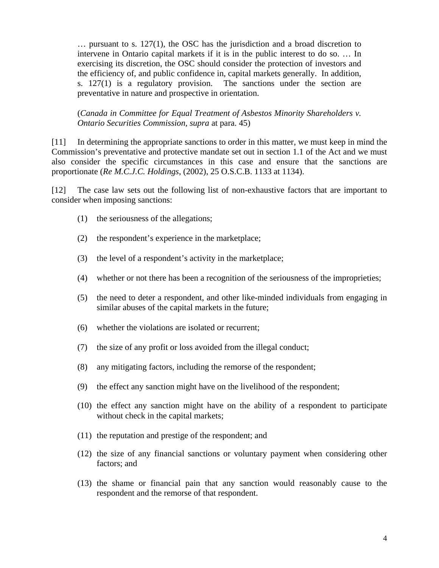$\ldots$  pursuant to s. 127(1), the OSC has the jurisdiction and a broad discretion to intervene in Ontario capital markets if it is in the public interest to do so. … In exercising its discretion, the OSC should consider the protection of investors and the efficiency of, and public confidence in, capital markets generally. In addition, s. 127(1) is a regulatory provision. The sanctions under the section are preventative in nature and prospective in orientation.

(*Canada in Committee for Equal Treatment of Asbestos Minority Shareholders v. Ontario Securities Commission, supra* at para. 45)

[11] In determining the appropriate sanctions to order in this matter, we must keep in mind the Commission's preventative and protective mandate set out in section 1.1 of the Act and we must also consider the specific circumstances in this case and ensure that the sanctions are proportionate (*Re M.C.J.C. Holdings*, (2002), 25 O.S.C.B. 1133 at 1134).

[12] The case law sets out the following list of non-exhaustive factors that are important to consider when imposing sanctions:

- (1) the seriousness of the allegations;
- (2) the respondent's experience in the marketplace;
- (3) the level of a respondent's activity in the marketplace;
- (4) whether or not there has been a recognition of the seriousness of the improprieties;
- (5) the need to deter a respondent, and other like-minded individuals from engaging in similar abuses of the capital markets in the future;
- (6) whether the violations are isolated or recurrent;
- (7) the size of any profit or loss avoided from the illegal conduct;
- (8) any mitigating factors, including the remorse of the respondent;
- (9) the effect any sanction might have on the livelihood of the respondent;
- (10) the effect any sanction might have on the ability of a respondent to participate without check in the capital markets;
- (11) the reputation and prestige of the respondent; and
- (12) the size of any financial sanctions or voluntary payment when considering other factors; and
- (13) the shame or financial pain that any sanction would reasonably cause to the respondent and the remorse of that respondent.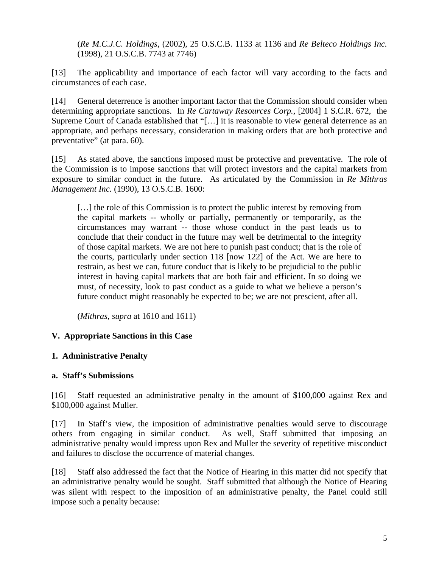(*Re M.C.J.C. Holdings*, (2002), 25 O.S.C.B. 1133 at 1136 and *Re Belteco Holdings Inc.* (1998), 21 O.S.C.B. 7743 at 7746)

[13] The applicability and importance of each factor will vary according to the facts and circumstances of each case.

[14] General deterrence is another important factor that the Commission should consider when determining appropriate sanctions. In *Re Cartaway Resources Corp.*, [2004] 1 S.C.R. 672, the Supreme Court of Canada established that "[…] it is reasonable to view general deterrence as an appropriate, and perhaps necessary, consideration in making orders that are both protective and preventative" (at para. 60).

[15] As stated above, the sanctions imposed must be protective and preventative. The role of the Commission is to impose sanctions that will protect investors and the capital markets from exposure to similar conduct in the future. As articulated by the Commission in *Re Mithras Management Inc.* (1990), 13 O.S.C.B. 1600:

[...] the role of this Commission is to protect the public interest by removing from the capital markets -- wholly or partially, permanently or temporarily, as the circumstances may warrant -- those whose conduct in the past leads us to conclude that their conduct in the future may well be detrimental to the integrity of those capital markets. We are not here to punish past conduct; that is the role of the courts, particularly under section 118 [now 122] of the Act. We are here to restrain, as best we can, future conduct that is likely to be prejudicial to the public interest in having capital markets that are both fair and efficient. In so doing we must, of necessity, look to past conduct as a guide to what we believe a person's future conduct might reasonably be expected to be; we are not prescient, after all.

(*Mithras*, *supra* at 1610 and 1611)

### **V. Appropriate Sanctions in this Case**

### **1. Administrative Penalty**

### **a. Staff's Submissions**

[16] Staff requested an administrative penalty in the amount of \$100,000 against Rex and \$100,000 against Muller.

[17] In Staff's view, the imposition of administrative penalties would serve to discourage others from engaging in similar conduct. As well, Staff submitted that imposing an administrative penalty would impress upon Rex and Muller the severity of repetitive misconduct and failures to disclose the occurrence of material changes.

[18] Staff also addressed the fact that the Notice of Hearing in this matter did not specify that an administrative penalty would be sought. Staff submitted that although the Notice of Hearing was silent with respect to the imposition of an administrative penalty, the Panel could still impose such a penalty because: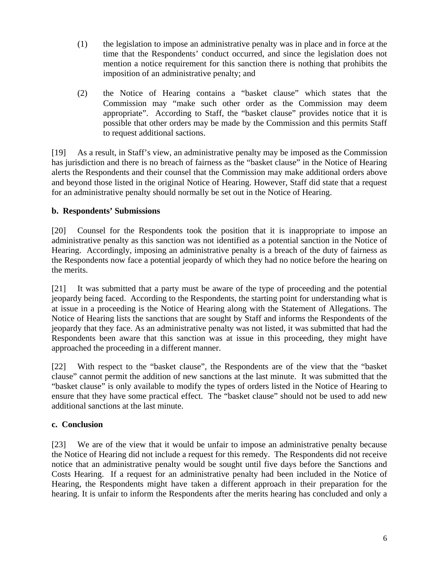- (1) the legislation to impose an administrative penalty was in place and in force at the time that the Respondents' conduct occurred, and since the legislation does not mention a notice requirement for this sanction there is nothing that prohibits the imposition of an administrative penalty; and
- (2) the Notice of Hearing contains a "basket clause" which states that the Commission may "make such other order as the Commission may deem appropriate". According to Staff, the "basket clause" provides notice that it is possible that other orders may be made by the Commission and this permits Staff to request additional sactions.

[19] As a result, in Staff's view, an administrative penalty may be imposed as the Commission has jurisdiction and there is no breach of fairness as the "basket clause" in the Notice of Hearing alerts the Respondents and their counsel that the Commission may make additional orders above and beyond those listed in the original Notice of Hearing. However, Staff did state that a request for an administrative penalty should normally be set out in the Notice of Hearing.

## **b. Respondents' Submissions**

[20] Counsel for the Respondents took the position that it is inappropriate to impose an administrative penalty as this sanction was not identified as a potential sanction in the Notice of Hearing. Accordingly, imposing an administrative penalty is a breach of the duty of fairness as the Respondents now face a potential jeopardy of which they had no notice before the hearing on the merits.

[21] It was submitted that a party must be aware of the type of proceeding and the potential jeopardy being faced. According to the Respondents, the starting point for understanding what is at issue in a proceeding is the Notice of Hearing along with the Statement of Allegations. The Notice of Hearing lists the sanctions that are sought by Staff and informs the Respondents of the jeopardy that they face. As an administrative penalty was not listed, it was submitted that had the Respondents been aware that this sanction was at issue in this proceeding, they might have approached the proceeding in a different manner.

[22] With respect to the "basket clause", the Respondents are of the view that the "basket clause" cannot permit the addition of new sanctions at the last minute. It was submitted that the "basket clause" is only available to modify the types of orders listed in the Notice of Hearing to ensure that they have some practical effect. The "basket clause" should not be used to add new additional sanctions at the last minute.

### **c. Conclusion**

[23] We are of the view that it would be unfair to impose an administrative penalty because the Notice of Hearing did not include a request for this remedy. The Respondents did not receive notice that an administrative penalty would be sought until five days before the Sanctions and Costs Hearing. If a request for an administrative penalty had been included in the Notice of Hearing, the Respondents might have taken a different approach in their preparation for the hearing. It is unfair to inform the Respondents after the merits hearing has concluded and only a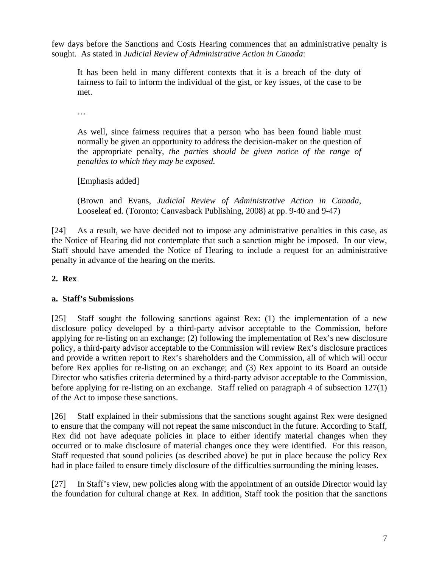few days before the Sanctions and Costs Hearing commences that an administrative penalty is sought. As stated in *Judicial Review of Administrative Action in Canada*:

It has been held in many different contexts that it is a breach of the duty of fairness to fail to inform the individual of the gist, or key issues, of the case to be met.

…

As well, since fairness requires that a person who has been found liable must normally be given an opportunity to address the decision-maker on the question of the appropriate penalty, *the parties should be given notice of the range of penalties to which they may be exposed.*

[Emphasis added]

(Brown and Evans, *Judicial Review of Administrative Action in Canada*, Looseleaf ed. (Toronto: Canvasback Publishing, 2008) at pp. 9-40 and 9-47)

[24] As a result, we have decided not to impose any administrative penalties in this case, as the Notice of Hearing did not contemplate that such a sanction might be imposed. In our view, Staff should have amended the Notice of Hearing to include a request for an administrative penalty in advance of the hearing on the merits.

### **2. Rex**

### **a. Staff's Submissions**

[25] Staff sought the following sanctions against Rex: (1) the implementation of a new disclosure policy developed by a third-party advisor acceptable to the Commission, before applying for re-listing on an exchange; (2) following the implementation of Rex's new disclosure policy, a third-party advisor acceptable to the Commission will review Rex's disclosure practices and provide a written report to Rex's shareholders and the Commission, all of which will occur before Rex applies for re-listing on an exchange; and (3) Rex appoint to its Board an outside Director who satisfies criteria determined by a third-party advisor acceptable to the Commission, before applying for re-listing on an exchange. Staff relied on paragraph 4 of subsection 127(1) of the Act to impose these sanctions.

[26] Staff explained in their submissions that the sanctions sought against Rex were designed to ensure that the company will not repeat the same misconduct in the future. According to Staff, Rex did not have adequate policies in place to either identify material changes when they occurred or to make disclosure of material changes once they were identified. For this reason, Staff requested that sound policies (as described above) be put in place because the policy Rex had in place failed to ensure timely disclosure of the difficulties surrounding the mining leases.

[27] In Staff's view, new policies along with the appointment of an outside Director would lay the foundation for cultural change at Rex. In addition, Staff took the position that the sanctions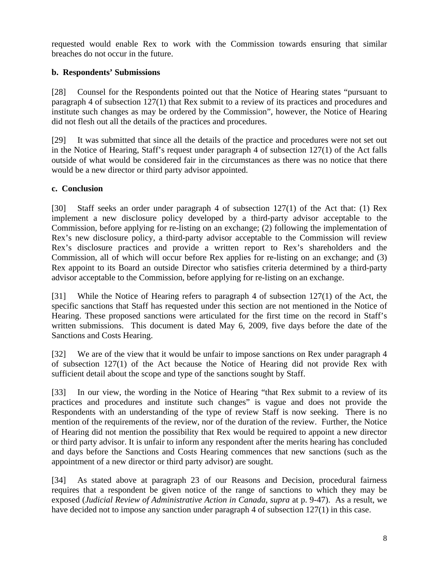requested would enable Rex to work with the Commission towards ensuring that similar breaches do not occur in the future.

## **b. Respondents' Submissions**

[28] Counsel for the Respondents pointed out that the Notice of Hearing states "pursuant to paragraph 4 of subsection 127(1) that Rex submit to a review of its practices and procedures and institute such changes as may be ordered by the Commission", however, the Notice of Hearing did not flesh out all the details of the practices and procedures.

[29] It was submitted that since all the details of the practice and procedures were not set out in the Notice of Hearing, Staff's request under paragraph 4 of subsection 127(1) of the Act falls outside of what would be considered fair in the circumstances as there was no notice that there would be a new director or third party advisor appointed.

### **c. Conclusion**

[30] Staff seeks an order under paragraph 4 of subsection 127(1) of the Act that: (1) Rex implement a new disclosure policy developed by a third-party advisor acceptable to the Commission, before applying for re-listing on an exchange; (2) following the implementation of Rex's new disclosure policy, a third-party advisor acceptable to the Commission will review Rex's disclosure practices and provide a written report to Rex's shareholders and the Commission, all of which will occur before Rex applies for re-listing on an exchange; and (3) Rex appoint to its Board an outside Director who satisfies criteria determined by a third-party advisor acceptable to the Commission, before applying for re-listing on an exchange.

[31] While the Notice of Hearing refers to paragraph 4 of subsection 127(1) of the Act, the specific sanctions that Staff has requested under this section are not mentioned in the Notice of Hearing. These proposed sanctions were articulated for the first time on the record in Staff's written submissions. This document is dated May 6, 2009, five days before the date of the Sanctions and Costs Hearing.

[32] We are of the view that it would be unfair to impose sanctions on Rex under paragraph 4 of subsection 127(1) of the Act because the Notice of Hearing did not provide Rex with sufficient detail about the scope and type of the sanctions sought by Staff.

[33] In our view, the wording in the Notice of Hearing "that Rex submit to a review of its practices and procedures and institute such changes" is vague and does not provide the Respondents with an understanding of the type of review Staff is now seeking. There is no mention of the requirements of the review, nor of the duration of the review. Further, the Notice of Hearing did not mention the possibility that Rex would be required to appoint a new director or third party advisor. It is unfair to inform any respondent after the merits hearing has concluded and days before the Sanctions and Costs Hearing commences that new sanctions (such as the appointment of a new director or third party advisor) are sought.

[34] As stated above at paragraph 23 of our Reasons and Decision, procedural fairness requires that a respondent be given notice of the range of sanctions to which they may be exposed (*Judicial Review of Administrative Action in Canada*, *supra* at p. 9-47). As a result, we have decided not to impose any sanction under paragraph 4 of subsection 127(1) in this case.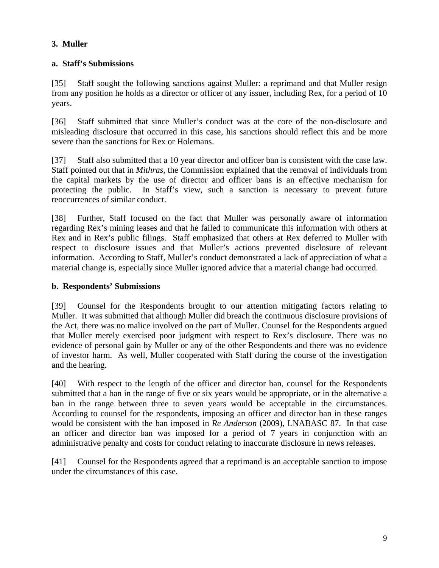# **3. Muller**

## **a. Staff's Submissions**

[35] Staff sought the following sanctions against Muller: a reprimand and that Muller resign from any position he holds as a director or officer of any issuer, including Rex, for a period of 10 years.

[36] Staff submitted that since Muller's conduct was at the core of the non-disclosure and misleading disclosure that occurred in this case, his sanctions should reflect this and be more severe than the sanctions for Rex or Holemans.

[37] Staff also submitted that a 10 year director and officer ban is consistent with the case law. Staff pointed out that in *Mithras*, the Commission explained that the removal of individuals from the capital markets by the use of director and officer bans is an effective mechanism for protecting the public. In Staff's view, such a sanction is necessary to prevent future reoccurrences of similar conduct.

[38] Further, Staff focused on the fact that Muller was personally aware of information regarding Rex's mining leases and that he failed to communicate this information with others at Rex and in Rex's public filings. Staff emphasized that others at Rex deferred to Muller with respect to disclosure issues and that Muller's actions prevented disclosure of relevant information. According to Staff, Muller's conduct demonstrated a lack of appreciation of what a material change is, especially since Muller ignored advice that a material change had occurred.

## **b. Respondents' Submissions**

[39] Counsel for the Respondents brought to our attention mitigating factors relating to Muller. It was submitted that although Muller did breach the continuous disclosure provisions of the Act, there was no malice involved on the part of Muller. Counsel for the Respondents argued that Muller merely exercised poor judgment with respect to Rex's disclosure. There was no evidence of personal gain by Muller or any of the other Respondents and there was no evidence of investor harm. As well, Muller cooperated with Staff during the course of the investigation and the hearing.

[40] With respect to the length of the officer and director ban, counsel for the Respondents submitted that a ban in the range of five or six years would be appropriate, or in the alternative a ban in the range between three to seven years would be acceptable in the circumstances. According to counsel for the respondents, imposing an officer and director ban in these ranges would be consistent with the ban imposed in *Re Anderson* (2009), LNABASC 87. In that case an officer and director ban was imposed for a period of 7 years in conjunction with an administrative penalty and costs for conduct relating to inaccurate disclosure in news releases.

[41] Counsel for the Respondents agreed that a reprimand is an acceptable sanction to impose under the circumstances of this case.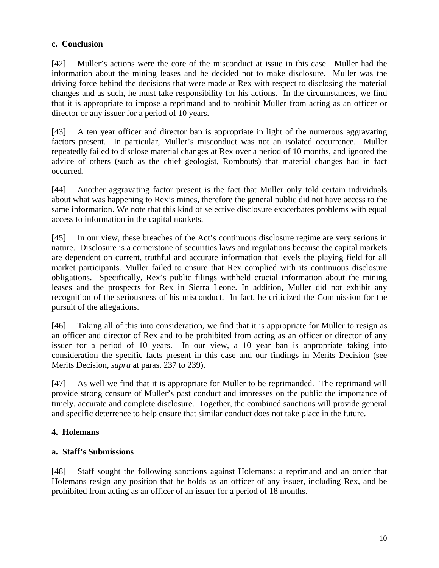### **c. Conclusion**

[42] Muller's actions were the core of the misconduct at issue in this case. Muller had the information about the mining leases and he decided not to make disclosure. Muller was the driving force behind the decisions that were made at Rex with respect to disclosing the material changes and as such, he must take responsibility for his actions.In the circumstances, we find that it is appropriate to impose a reprimand and to prohibit Muller from acting as an officer or director or any issuer for a period of 10 years.

[43] A ten year officer and director ban is appropriate in light of the numerous aggravating factors present. In particular, Muller's misconduct was not an isolated occurrence. Muller repeatedly failed to disclose material changes at Rex over a period of 10 months, and ignored the advice of others (such as the chief geologist, Rombouts) that material changes had in fact occurred.

[44] Another aggravating factor present is the fact that Muller only told certain individuals about what was happening to Rex's mines, therefore the general public did not have access to the same information. We note that this kind of selective disclosure exacerbates problems with equal access to information in the capital markets.

[45] In our view, these breaches of the Act's continuous disclosure regime are very serious in nature. Disclosure is a cornerstone of securities laws and regulations because the capital markets are dependent on current, truthful and accurate information that levels the playing field for all market participants. Muller failed to ensure that Rex complied with its continuous disclosure obligations. Specifically, Rex's public filings withheld crucial information about the mining leases and the prospects for Rex in Sierra Leone. In addition, Muller did not exhibit any recognition of the seriousness of his misconduct. In fact, he criticized the Commission for the pursuit of the allegations.

[46] Taking all of this into consideration, we find that it is appropriate for Muller to resign as an officer and director of Rex and to be prohibited from acting as an officer or director of any issuer for a period of 10 years. In our view, a 10 year ban is appropriate taking into consideration the specific facts present in this case and our findings in Merits Decision (see Merits Decision, *supra* at paras. 237 to 239).

[47] As well we find that it is appropriate for Muller to be reprimanded. The reprimand will provide strong censure of Muller's past conduct and impresses on the public the importance of timely, accurate and complete disclosure. Together, the combined sanctions will provide general and specific deterrence to help ensure that similar conduct does not take place in the future.

## **4. Holemans**

## **a. Staff's Submissions**

[48] Staff sought the following sanctions against Holemans: a reprimand and an order that Holemans resign any position that he holds as an officer of any issuer, including Rex, and be prohibited from acting as an officer of an issuer for a period of 18 months.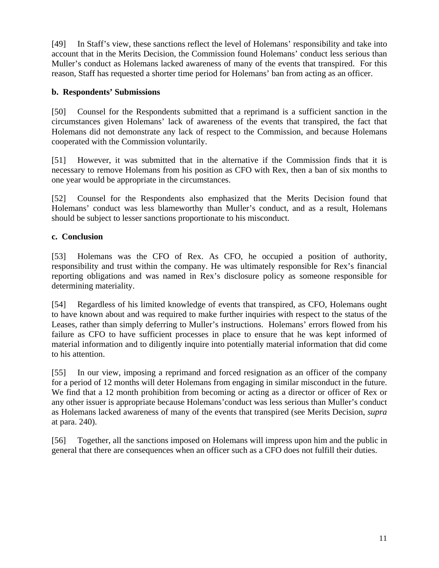[49] In Staff's view, these sanctions reflect the level of Holemans' responsibility and take into account that in the Merits Decision, the Commission found Holemans' conduct less serious than Muller's conduct as Holemans lacked awareness of many of the events that transpired. For this reason, Staff has requested a shorter time period for Holemans' ban from acting as an officer.

## **b. Respondents' Submissions**

[50] Counsel for the Respondents submitted that a reprimand is a sufficient sanction in the circumstances given Holemans' lack of awareness of the events that transpired, the fact that Holemans did not demonstrate any lack of respect to the Commission, and because Holemans cooperated with the Commission voluntarily.

[51] However, it was submitted that in the alternative if the Commission finds that it is necessary to remove Holemans from his position as CFO with Rex, then a ban of six months to one year would be appropriate in the circumstances.

[52] Counsel for the Respondents also emphasized that the Merits Decision found that Holemans' conduct was less blameworthy than Muller's conduct, and as a result, Holemans should be subject to lesser sanctions proportionate to his misconduct.

## **c. Conclusion**

[53] Holemans was the CFO of Rex. As CFO, he occupied a position of authority, responsibility and trust within the company. He was ultimately responsible for Rex's financial reporting obligations and was named in Rex's disclosure policy as someone responsible for determining materiality.

[54] Regardless of his limited knowledge of events that transpired, as CFO, Holemans ought to have known about and was required to make further inquiries with respect to the status of the Leases, rather than simply deferring to Muller's instructions. Holemans' errors flowed from his failure as CFO to have sufficient processes in place to ensure that he was kept informed of material information and to diligently inquire into potentially material information that did come to his attention.

[55] In our view, imposing a reprimand and forced resignation as an officer of the company for a period of 12 months will deter Holemans from engaging in similar misconduct in the future. We find that a 12 month prohibition from becoming or acting as a director or officer of Rex or any other issuer is appropriate because Holemans'conduct was less serious than Muller's conduct as Holemans lacked awareness of many of the events that transpired (see Merits Decision, *supra* at para. 240).

[56] Together, all the sanctions imposed on Holemans will impress upon him and the public in general that there are consequences when an officer such as a CFO does not fulfill their duties.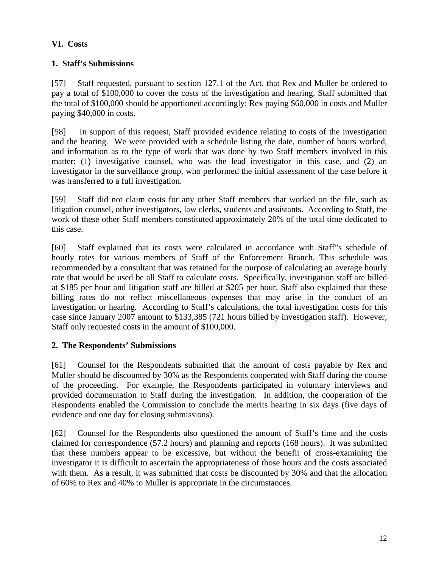# **VI. Costs**

# **1. Staff's Submissions**

[57] Staff requested, pursuant to section 127.1 of the Act, that Rex and Muller be ordered to pay a total of \$100,000 to cover the costs of the investigation and hearing. Staff submitted that the total of \$100,000 should be apportioned accordingly: Rex paying \$60,000 in costs and Muller paying \$40,000 in costs.

[58] In support of this request, Staff provided evidence relating to costs of the investigation and the hearing. We were provided with a schedule listing the date, number of hours worked, and information as to the type of work that was done by two Staff members involved in this matter: (1) investigative counsel, who was the lead investigator in this case, and (2) an investigator in the surveillance group, who performed the initial assessment of the case before it was transferred to a full investigation.

[59] Staff did not claim costs for any other Staff members that worked on the file, such as litigation counsel, other investigators, law clerks, students and assistants. According to Staff, the work of these other Staff members constituted approximately 20% of the total time dedicated to this case.

[60] Staff explained that its costs were calculated in accordance with Staff"s schedule of hourly rates for various members of Staff of the Enforcement Branch. This schedule was recommended by a consultant that was retained for the purpose of calculating an average hourly rate that would be used be all Staff to calculate costs. Specifically, investigation staff are billed at \$185 per hour and litigation staff are billed at \$205 per hour. Staff also explained that these billing rates do not reflect miscellaneous expenses that may arise in the conduct of an investigation or hearing. According to Staff's calculations, the total investigation costs for this case since January 2007 amount to \$133,385 (721 hours billed by investigation staff). However, Staff only requested costs in the amount of \$100,000.

## **2. The Respondents' Submissions**

[61] Counsel for the Respondents submitted that the amount of costs payable by Rex and Muller should be discounted by 30% as the Respondents cooperated with Staff during the course of the proceeding. For example, the Respondents participated in voluntary interviews and provided documentation to Staff during the investigation. In addition, the cooperation of the Respondents enabled the Commission to conclude the merits hearing in six days (five days of evidence and one day for closing submissions).

[62] Counsel for the Respondents also questioned the amount of Staff's time and the costs claimed for correspondence (57.2 hours) and planning and reports (168 hours). It was submitted that these numbers appear to be excessive, but without the benefit of cross-examining the investigator it is difficult to ascertain the appropriateness of those hours and the costs associated with them. As a result, it was submitted that costs be discounted by 30% and that the allocation of 60% to Rex and 40% to Muller is appropriate in the circumstances.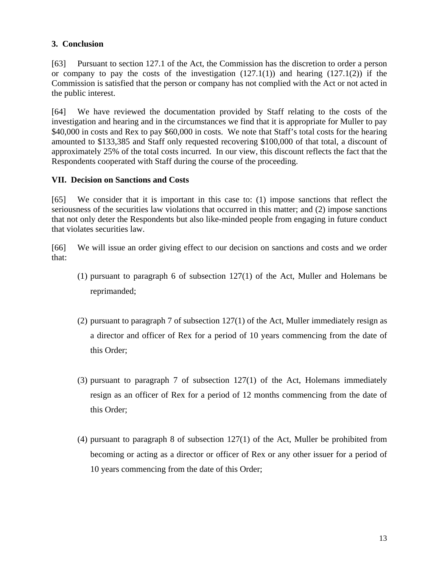## **3. Conclusion**

[63] Pursuant to section 127.1 of the Act, the Commission has the discretion to order a person or company to pay the costs of the investigation  $(127.1(1))$  and hearing  $(127.1(2))$  if the Commission is satisfied that the person or company has not complied with the Act or not acted in the public interest.

[64] We have reviewed the documentation provided by Staff relating to the costs of the investigation and hearing and in the circumstances we find that it is appropriate for Muller to pay \$40,000 in costs and Rex to pay \$60,000 in costs. We note that Staff's total costs for the hearing amounted to \$133,385 and Staff only requested recovering \$100,000 of that total, a discount of approximately 25% of the total costs incurred. In our view, this discount reflects the fact that the Respondents cooperated with Staff during the course of the proceeding.

## **VII. Decision on Sanctions and Costs**

[65] We consider that it is important in this case to: (1) impose sanctions that reflect the seriousness of the securities law violations that occurred in this matter; and (2) impose sanctions that not only deter the Respondents but also like-minded people from engaging in future conduct that violates securities law.

[66] We will issue an order giving effect to our decision on sanctions and costs and we order that:

- (1) pursuant to paragraph 6 of subsection 127(1) of the Act, Muller and Holemans be reprimanded;
- (2) pursuant to paragraph 7 of subsection 127(1) of the Act, Muller immediately resign as a director and officer of Rex for a period of 10 years commencing from the date of this Order;
- (3) pursuant to paragraph 7 of subsection 127(1) of the Act, Holemans immediately resign as an officer of Rex for a period of 12 months commencing from the date of this Order;
- (4) pursuant to paragraph 8 of subsection 127(1) of the Act, Muller be prohibited from becoming or acting as a director or officer of Rex or any other issuer for a period of 10 years commencing from the date of this Order;